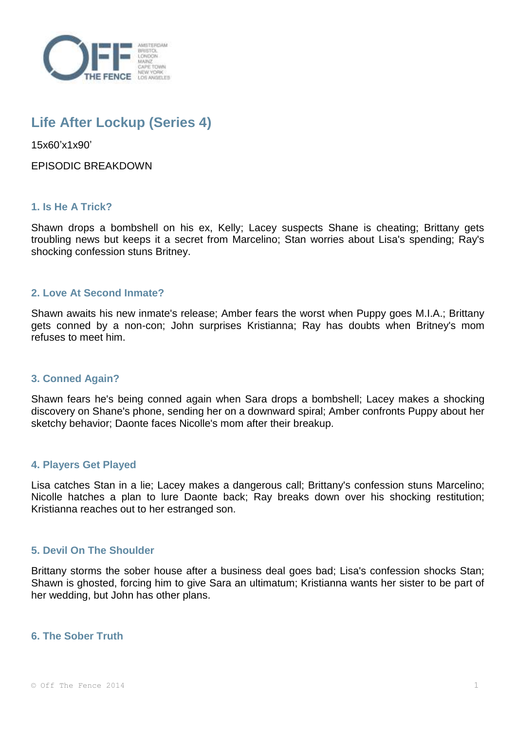

# **Life After Lockup (Series 4)**

15x60'x1x90'

EPISODIC BREAKDOWN

# **1. Is He A Trick?**

Shawn drops a bombshell on his ex, Kelly; Lacey suspects Shane is cheating; Brittany gets troubling news but keeps it a secret from Marcelino; Stan worries about Lisa's spending; Ray's shocking confession stuns Britney.

## **2. Love At Second Inmate?**

Shawn awaits his new inmate's release; Amber fears the worst when Puppy goes M.I.A.; Brittany gets conned by a non-con; John surprises Kristianna; Ray has doubts when Britney's mom refuses to meet him.

## **3. Conned Again?**

Shawn fears he's being conned again when Sara drops a bombshell; Lacey makes a shocking discovery on Shane's phone, sending her on a downward spiral; Amber confronts Puppy about her sketchy behavior; Daonte faces Nicolle's mom after their breakup.

## **4. Players Get Played**

Lisa catches Stan in a lie; Lacey makes a dangerous call; Brittany's confession stuns Marcelino; Nicolle hatches a plan to lure Daonte back; Ray breaks down over his shocking restitution; Kristianna reaches out to her estranged son.

## **5. Devil On The Shoulder**

Brittany storms the sober house after a business deal goes bad; Lisa's confession shocks Stan; Shawn is ghosted, forcing him to give Sara an ultimatum; Kristianna wants her sister to be part of her wedding, but John has other plans.

## **6. The Sober Truth**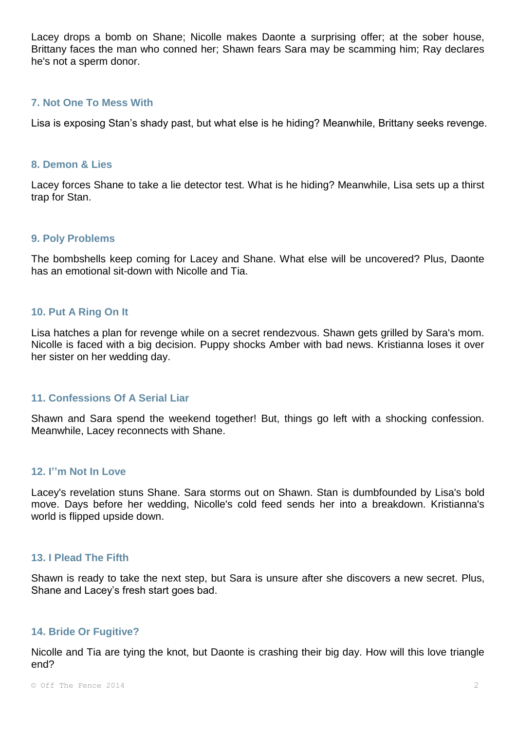Lacey drops a bomb on Shane; Nicolle makes Daonte a surprising offer; at the sober house, Brittany faces the man who conned her; Shawn fears Sara may be scamming him; Ray declares he's not a sperm donor.

## **7. Not One To Mess With**

Lisa is exposing Stan's shady past, but what else is he hiding? Meanwhile, Brittany seeks revenge.

## **8. Demon & Lies**

Lacey forces Shane to take a lie detector test. What is he hiding? Meanwhile, Lisa sets up a thirst trap for Stan.

#### **9. Poly Problems**

The bombshells keep coming for Lacey and Shane. What else will be uncovered? Plus, Daonte has an emotional sit-down with Nicolle and Tia.

## **10. Put A Ring On It**

Lisa hatches a plan for revenge while on a secret rendezvous. Shawn gets grilled by Sara's mom. Nicolle is faced with a big decision. Puppy shocks Amber with bad news. Kristianna loses it over her sister on her wedding day.

## **11. Confessions Of A Serial Liar**

Shawn and Sara spend the weekend together! But, things go left with a shocking confession. Meanwhile, Lacey reconnects with Shane.

## **12. I''m Not In Love**

Lacey's revelation stuns Shane. Sara storms out on Shawn. Stan is dumbfounded by Lisa's bold move. Days before her wedding, Nicolle's cold feed sends her into a breakdown. Kristianna's world is flipped upside down.

#### **13. I Plead The Fifth**

Shawn is ready to take the next step, but Sara is unsure after she discovers a new secret. Plus, Shane and Lacey's fresh start goes bad.

#### **14. Bride Or Fugitive?**

Nicolle and Tia are tying the knot, but Daonte is crashing their big day. How will this love triangle end?